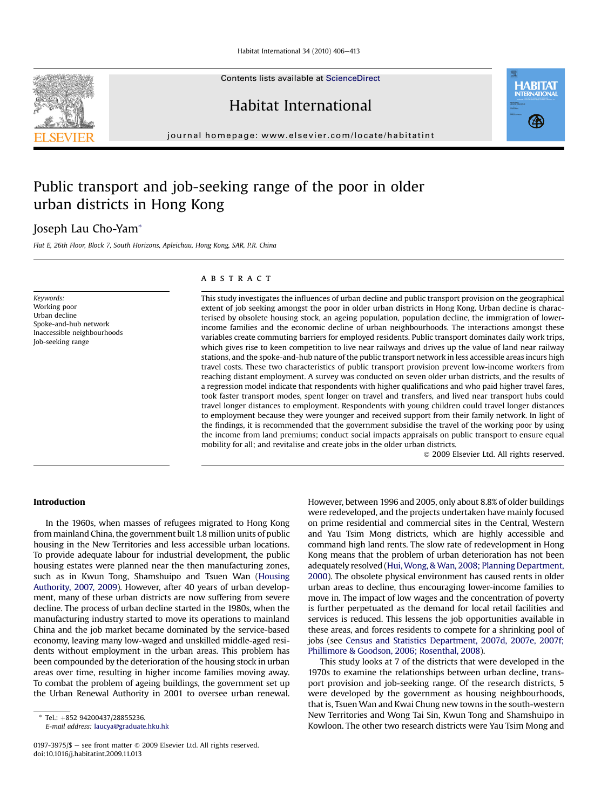Habitat International  $34$  (2010)  $406 - 413$ 

Contents lists available at ScienceDirect

Habitat International

journal homepage: [www.elsevier.com/locate/habitatint](http://www.elsevier.com/locate/habitatint)

## Public transport and job-seeking range of the poor in older urban districts in Hong Kong

### Joseph Lau Cho-Yam\*

Flat E, 26th Floor, Block 7, South Horizons, Apleichau, Hong Kong, SAR, P.R. China

Keywords: Working poor Urban decline Spoke-and-hub network Inaccessible neighbourhoods Job-seeking range

#### **ABSTRACT**

This study investigates the influences of urban decline and public transport provision on the geographical extent of job seeking amongst the poor in older urban districts in Hong Kong. Urban decline is characterised by obsolete housing stock, an ageing population, population decline, the immigration of lowerincome families and the economic decline of urban neighbourhoods. The interactions amongst these variables create commuting barriers for employed residents. Public transport dominates daily work trips, which gives rise to keen competition to live near railways and drives up the value of land near railway stations, and the spoke-and-hub nature of the public transport network in less accessible areas incurs high travel costs. These two characteristics of public transport provision prevent low-income workers from reaching distant employment. A survey was conducted on seven older urban districts, and the results of a regression model indicate that respondents with higher qualifications and who paid higher travel fares, took faster transport modes, spent longer on travel and transfers, and lived near transport hubs could travel longer distances to employment. Respondents with young children could travel longer distances to employment because they were younger and received support from their family network. In light of the findings, it is recommended that the government subsidise the travel of the working poor by using the income from land premiums; conduct social impacts appraisals on public transport to ensure equal mobility for all; and revitalise and create jobs in the older urban districts.

2009 Elsevier Ltd. All rights reserved.

#### Introduction

In the 1960s, when masses of refugees migrated to Hong Kong from mainland China, the government built 1.8 million units of public housing in the New Territories and less accessible urban locations. To provide adequate labour for industrial development, the public housing estates were planned near the then manufacturing zones, such as in Kwun Tong, Shamshuipo and Tsuen Wan (Housing Authority, 2007, 2009). However, after 40 years of urban development, many of these urban districts are now suffering from severe decline. The process of urban decline started in the 1980s, when the manufacturing industry started to move its operations to mainland China and the job market became dominated by the service-based economy, leaving many low-waged and unskilled middle-aged residents without employment in the urban areas. This problem has been compounded by the deterioration of the housing stock in urban areas over time, resulting in higher income families moving away. To combat the problem of ageing buildings, the government set up the Urban Renewal Authority in 2001 to oversee urban renewal.

E-mail address: [laucya@graduate.hku.hk](mailto:laucya@graduate.hku.hk)

However, between 1996 and 2005, only about 8.8% of older buildings were redeveloped, and the projects undertaken have mainly focused on prime residential and commercial sites in the Central, Western and Yau Tsim Mong districts, which are highly accessible and command high land rents. The slow rate of redevelopment in Hong Kong means that the problem of urban deterioration has not been adequately resolved (Hui,Wong, & Wan, 2008; Planning Department, 2000). The obsolete physical environment has caused rents in older urban areas to decline, thus encouraging lower-income families to move in. The impact of low wages and the concentration of poverty is further perpetuated as the demand for local retail facilities and services is reduced. This lessens the job opportunities available in these areas, and forces residents to compete for a shrinking pool of jobs (see Census and Statistics Department, 2007d, 2007e, 2007f; Phillimore & Goodson, 2006; Rosenthal, 2008).

This study looks at 7 of the districts that were developed in the 1970s to examine the relationships between urban decline, transport provision and job-seeking range. Of the research districts, 5 were developed by the government as housing neighbourhoods, that is, Tsuen Wan and Kwai Chung new towns in the south-western New Territories and Wong Tai Sin, Kwun Tong and Shamshuipo in Kowloon. The other two research districts were Yau Tsim Mong and





Tel.: +852 94200437/28855236.

<sup>0197-3975/\$</sup>  $-$  see front matter  $\odot$  2009 Elsevier Ltd. All rights reserved. doi:10.1016/j.habitatint.2009.11.013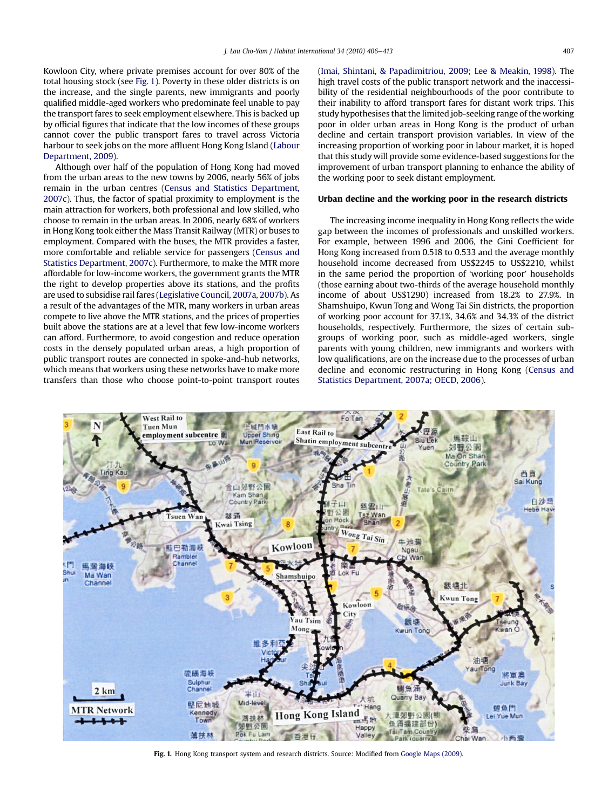Kowloon City, where private premises account for over 80% of the total housing stock (see Fig. 1). Poverty in these older districts is on the increase, and the single parents, new immigrants and poorly qualified middle-aged workers who predominate feel unable to pay the transport fares to seek employment elsewhere. This is backed up by official figures that indicate that the low incomes of these groups cannot cover the public transport fares to travel across Victoria harbour to seek jobs on the more affluent Hong Kong Island (Labour Department, 2009).

Although over half of the population of Hong Kong had moved from the urban areas to the new towns by 2006, nearly 56% of jobs remain in the urban centres (Census and Statistics Department, 2007c). Thus, the factor of spatial proximity to employment is the main attraction for workers, both professional and low skilled, who choose to remain in the urban areas. In 2006, nearly 68% of workers in Hong Kong took either the Mass Transit Railway (MTR) or buses to employment. Compared with the buses, the MTR provides a faster, more comfortable and reliable service for passengers (Census and Statistics Department, 2007c). Furthermore, to make the MTR more affordable for low-income workers, the government grants the MTR the right to develop properties above its stations, and the profits are used to subsidise rail fares (Legislative Council, 2007a, 2007b). As a result of the advantages of the MTR, many workers in urban areas compete to live above the MTR stations, and the prices of properties built above the stations are at a level that few low-income workers can afford. Furthermore, to avoid congestion and reduce operation costs in the densely populated urban areas, a high proportion of public transport routes are connected in spoke-and-hub networks, which means that workers using these networks have to make more transfers than those who choose point-to-point transport routes (Imai, Shintani, & Papadimitriou, 2009; Lee & Meakin, 1998). The high travel costs of the public transport network and the inaccessibility of the residential neighbourhoods of the poor contribute to their inability to afford transport fares for distant work trips. This study hypothesises that the limited job-seeking range of the working poor in older urban areas in Hong Kong is the product of urban decline and certain transport provision variables. In view of the increasing proportion of working poor in labour market, it is hoped that this study will provide some evidence-based suggestions for the improvement of urban transport planning to enhance the ability of the working poor to seek distant employment.

#### Urban decline and the working poor in the research districts

The increasing income inequality in Hong Kong reflects the wide gap between the incomes of professionals and unskilled workers. For example, between 1996 and 2006, the Gini Coefficient for Hong Kong increased from 0.518 to 0.533 and the average monthly household income decreased from US\$2245 to US\$2210, whilst in the same period the proportion of 'working poor' households (those earning about two-thirds of the average household monthly income of about US\$1290) increased from 18.2% to 27.9%. In Shamshuipo, Kwun Tong and Wong Tai Sin districts, the proportion of working poor account for 37.1%, 34.6% and 34.3% of the district households, respectively. Furthermore, the sizes of certain subgroups of working poor, such as middle-aged workers, single parents with young children, new immigrants and workers with low qualifications, are on the increase due to the processes of urban decline and economic restructuring in Hong Kong (Census and Statistics Department, 2007a; OECD, 2006).



Fig. 1. Hong Kong transport system and research districts. Source: Modified from Google Maps (2009).